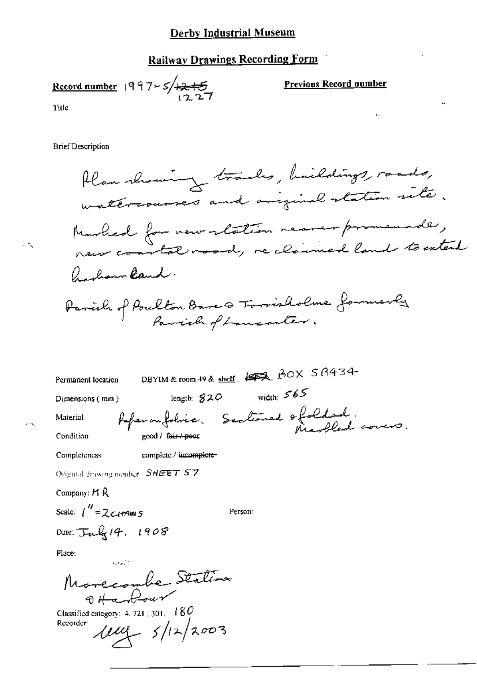#### **Railway Drawings Recording Form**

Record number  $997 - 5/12 + 5$ 

**Previous Record number** 

Title

 $\sim$   $\sim$ 

**Brief Description** 

Plan showing tracks, buildings, roads, watercourses and ariginal station site. Marked for new retation recrempromenade, a chown land. Parish of Poulton Bare & Forrisholme formerly

DBYIM & room 49 & shelf. 1972 BOX SB434-Permanent location length:  $820$  width:  $565$ Dimensions (mm) Asperanfolice. Sectioned & folded. Material good / fair / poor Condition complete / incomplete-Completeness Original drawing number SHEET 57

Person:

Company:  $H R$ Scale:  $1''$  = 2  $C$  (+1700  $5$ Date:  $\frac{1}{10^{4}}$  14, 1908

Place:

Morecombe Station

Classified category:  $4.721$ ,  $301 - 180$  $114 - 5/12/2003$ Recorder: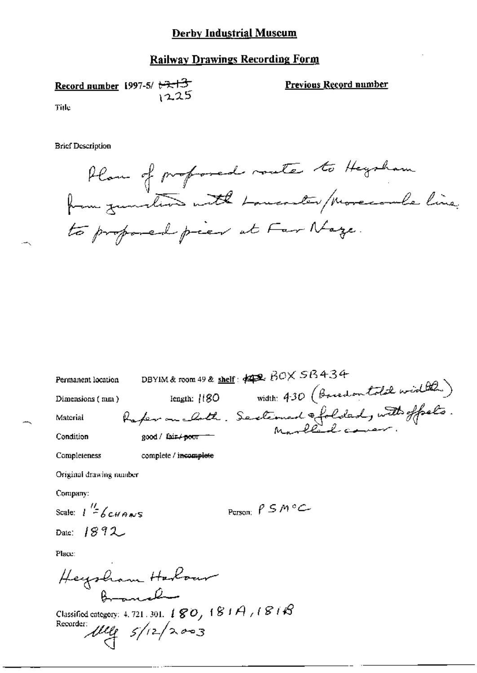### **Railway Drawings Recording Form**

Record number 1997-5/ $\leftrightarrow$   $\leftrightarrow$  $12.25$ Title

Previous Record number

**Brief Description** 

Plan of proformed rante to Heysham to proposed pier at Far Naze.

| Permanent location      | DBYIM & room 49 & shelf: $\#2$ , $BOX$ $SB$ $434$                                  |
|-------------------------|------------------------------------------------------------------------------------|
| Dimensions (mm)         | width: 430 (Bacedon told width)<br>length: [180]                                   |
| Material                | Raper on cloth. Sectioned ofolded, with offsets.<br>good/leitpoor - Marlled cover: |
| Condition               |                                                                                    |
| Completeness            | complete / incomplete                                                              |
| Original drawing number |                                                                                    |

Company:

Scale:  $1\frac{H}{2}$  6 CHANS

Date:  $1892$ 

Person:  $\rho$  S M °C

Place:

Heysham Harbour Broncola

Classified category: 4.721.301. 180, 181A, 181B<br>Recorder:<br> $\mu$ leg  $5/12/2223$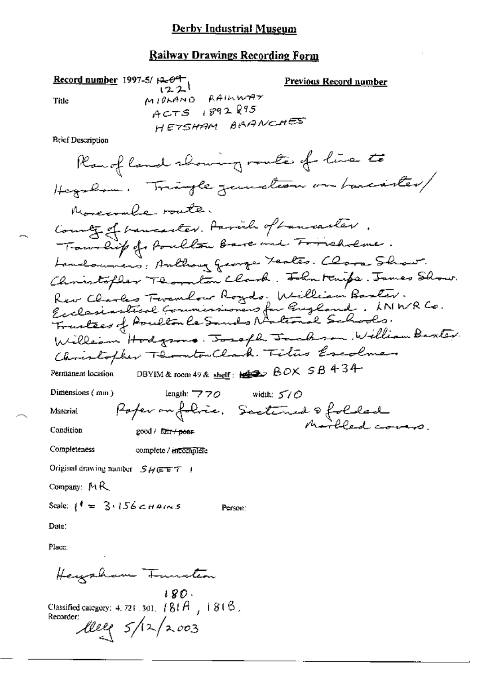## **Railway Drawings Recording Form**

Record number 1997-5/ $\beta$ - $\Theta$ <sup>-+</sup> Title

Previous Record number  $(22)$ MIDLAND RAILWAY  $ACTS$  1892895 HETSHAM BRANCHES

**Brief Description** 

Material

length:  $770$ 

width:  $570$ Poper on folice. Sectioned & folded

Condition

Completeness

complete / incomplete

good / fair + poer

Original drawing number SHEET |

Company: MR

Scale:  $l^{\dagger} = 3.156$  cHAINS

Person:

Date:

Place;

Heizzham Tunitan

 $180.$ Classified category: 4, 721, 301,  $(81A_7 + 81B_7)$ Recorder:  $lleqslant$   $5/12/2003$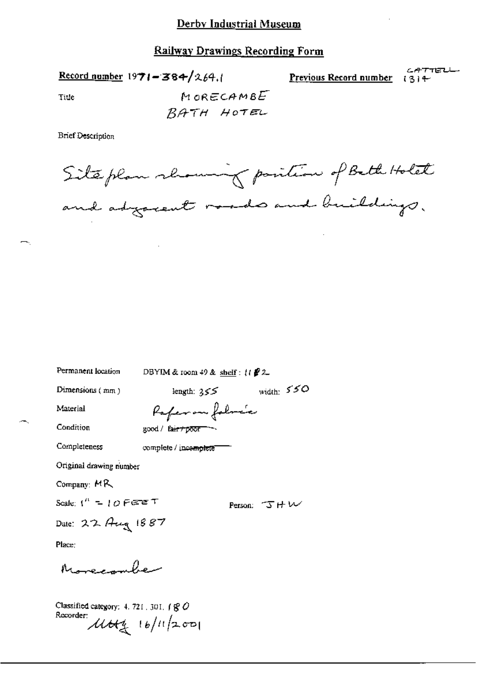Record number 1971-384/264.

*CATTEL* Previous Record number  $(3)$  +

Title

MORECAMBE BATH HOTEL

**Brief Description** 

Site plan showing position of Beth Holet and adjocent roads and buildings.

| Permanent location                    | DBYIM & room $49$ & shelf: $(1 \cdot 2)$ |               |  |  |
|---------------------------------------|------------------------------------------|---------------|--|--|
| Dimensions (mm)                       | length: 355                              | width: $550$  |  |  |
| Material                              | Paper on followic                        |               |  |  |
| Condition                             | good / fair+poor-                        |               |  |  |
| Completeness                          | complete / incomplete                    |               |  |  |
| Original drawing number               |                                          |               |  |  |
| Company: MR                           |                                          |               |  |  |
| Scale: (" = 10 $F$ e $\overline{r}$ T |                                          | Person: J H W |  |  |
| Dale: 22 Aug 1887                     |                                          |               |  |  |
| Place;                                |                                          |               |  |  |
| Morecombe                             |                                          |               |  |  |

Classified category: 4, 721, 301,  $\uparrow$   $\mathcal{C}$ Recorder:  $\mu$ tty 16/11/2001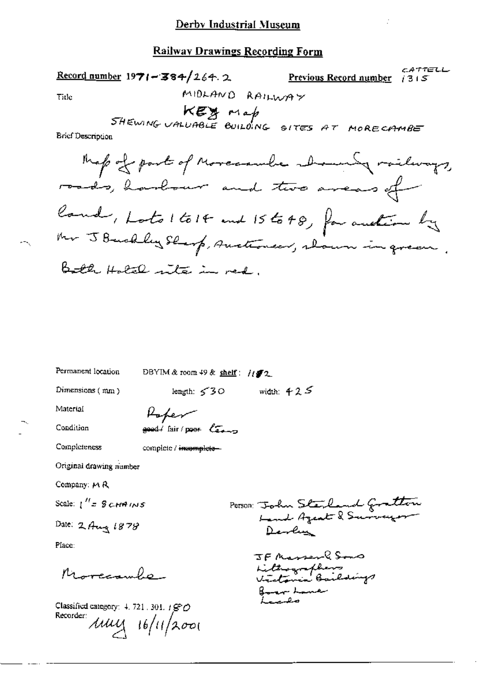CATTELL  $\frac{\text{Record number}}{1971 - 384}$  /264.2 **Previous Record number**  $\left(315\right)$ MIDLAND RAILWAY Tide KEY Map<br>SHEWING UALUABLE BUILDING SITES AT MORECAMBE **Brief Description** Map of part of Morecambe abounty railways, roads, harbour and two areas of land, Lots 1 to 14 and 15 to 48, for auction by Mr J Bushley Shorp, Auctioneer, woun in green.

Both Hotel rite in red.

Permanent location

DBYIM & room 49 & shelf: //f2

Dimensions (mm)

width:  $425$ length:  $50$ 

Material

Roper  $\frac{1}{2}$  and  $\frac{1}{2}$  fair / poor  $\frac{1}{2}$ 

Condition

Completeness

complete / inasmalete-

Original drawing number

Company: MR

Scale:  $\int'' z \cdot \mathcal{G} \, c_1 t \mathcal{A} \, t \mathcal{M} \mathcal{S}$ 

Date: 2 Aug 1878

Place:

 $\mu_{\rm 1}$ 

Classified category:  $\pm$  721, 301,  $\pm$   $\mathcal{G}\circ\mathcal{O}$ Recorder:  $\mu$ uy 16/11/2001

Person: John Sterland Gratton Devlin

JF Masser 8500 Lithographers<br>Victoria Baildings Borgar Louie مصيب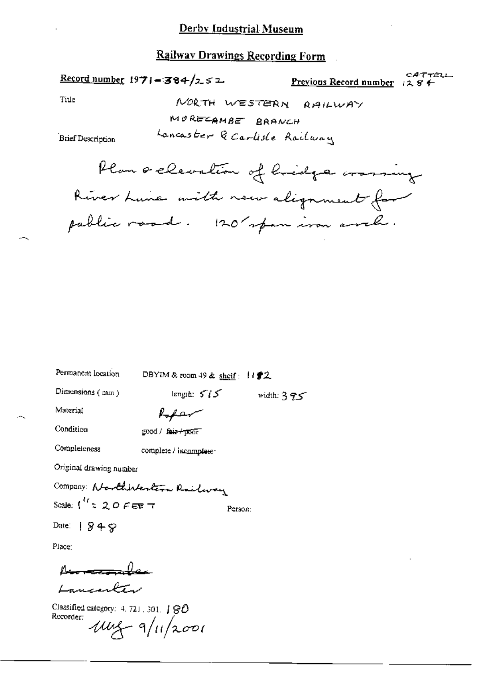#### **Railway Drawings Recording Form**

Record number 1971-384/252

CATTELL Previous Record number 1284

Title

NORTH WESTERN RAILWAY MORECAMBE BRANCH

Lancaster & Carlisle Railway

**Brief Description** 

Plan a clevation of hidge crassing River Lune with new alignment for pablic road. 120 span iron anch.

Permanent location DBYIM & room 49 & shelf:  $1192$ 

Dimensions (mm)

length:  $5/5$ width:  $375$ 

Material

سهفها

Condition

good / fair+poor

Completeness

complete / incomplete-

Original drawing number

Company: Northhertern Railway Scale:  $\int_0^{T} z Q O F E E T$ 

Person:

Date:  $949$ 

Place:

<u>romando</u> Lancenter

Classified category: 4, 721, 301, | 80 Recorder:  $104 - 9/11/2001$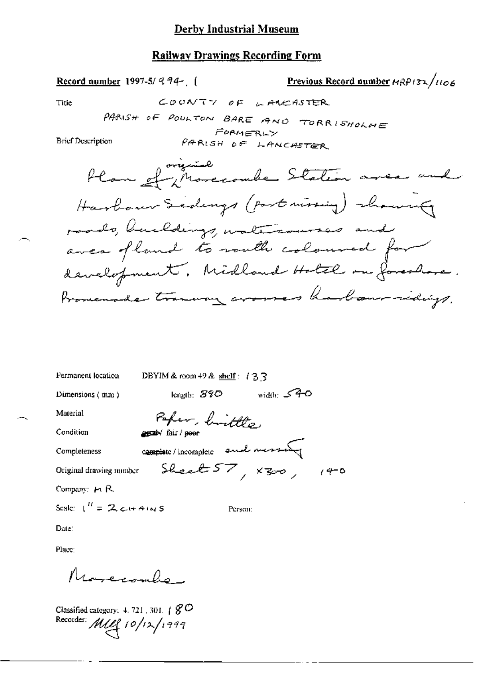## **Railway Drawings Recording Form**

| <u>Record number</u> 1997-5/994-, (                                                                   | Previous Record number HRP132/1106 |
|-------------------------------------------------------------------------------------------------------|------------------------------------|
| COONTY OF LANCASTER<br>Tiue                                                                           |                                    |
| PARISH OF POULTON BARE AND TORRISHOLME<br>FORMERLY<br><b>Brief Description</b><br>PARISH OF LANCASTER |                                    |
| Plan et increambre Station avec und                                                                   |                                    |
| Harbour Sedengs (port missing) showing                                                                |                                    |
| roads, buildings, watercourses and                                                                    |                                    |
| avea fland to vouth coloured for                                                                      |                                    |
| development, Midland Hotel on foreshore.                                                              |                                    |
| Promenade transvay arouses hadaur sidings.                                                            |                                    |
|                                                                                                       |                                    |
|                                                                                                       |                                    |

| Permanent location        | DBYIM & room 49 & shelf: $\{3, 3\}$ |         |              |     |
|---------------------------|-------------------------------------|---------|--------------|-----|
| Dimensions $(mn)$         | length: $870^\circ$                 |         | width: $540$ |     |
| Material                  | Paper, brittle                      |         |              |     |
| Condition                 | agreby fair / poor                  |         |              |     |
| Completeness              | complete/incomplete and message     |         |              |     |
| Original drawing number   | Sheet $57, x_{500}$                 |         |              | 140 |
| Company: $H \mathbb{R}$ . |                                     |         |              |     |
| Scale: $1'' = 2c+Ans$     |                                     | Person: |              |     |
|                           |                                     |         |              |     |

Date:

Place:

Novecombe

Classified category: 4.721, 301. |  $8^{\circ}$ <br>Recorder:  $MCl$  |  $0/12/1999$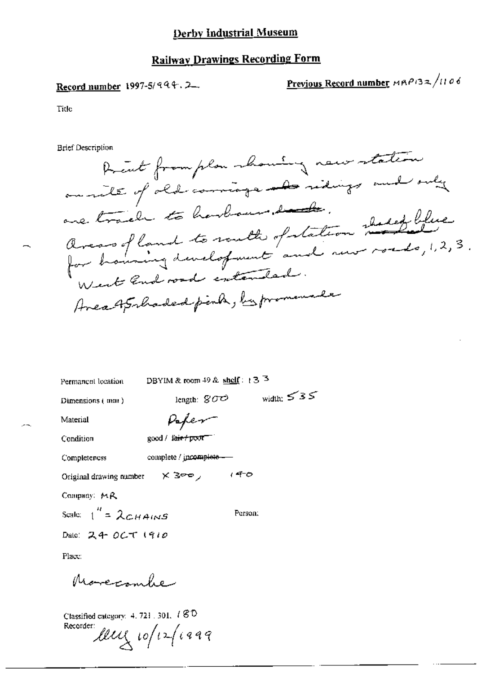## **Railway Drawings Recording Form**

## Record number 1997-5/994.2.

Previous Record number MRP132/1106

Tide

**Brief Description** 

Prent from plan manning new station on rite of old comings and ridings and only arears of land to south of station shall blue<br>for housing development and new roads, 1, 2, 3.<br>West land road entended. are trail to harbour, but Area AS haded perha, by promenale

| Permanent location | DBYIM & room 49 & shelf: $+3\sqrt{3}$ |
|--------------------|---------------------------------------|
|--------------------|---------------------------------------|

length:  $\mathcal{G}\mathcal{O}\mathcal{O}$ 

Dimensions (mm)

width:  $535$ 

Material

Peper

Condition

Completeness

complete / incomplete-

 $good /$  fair  $f$  poor  $\blacksquare$ 

Original drawing number  $\times$  3 $\infty$  (4-0

Company: MR

Scale:  $1'' = \lambda_{CHAMS}$ Person:

Date: 24 OCT 1910

Place:

Morecombe

Classified category: 4, 721, 301, 180 Recorder:

leux 10/12/1999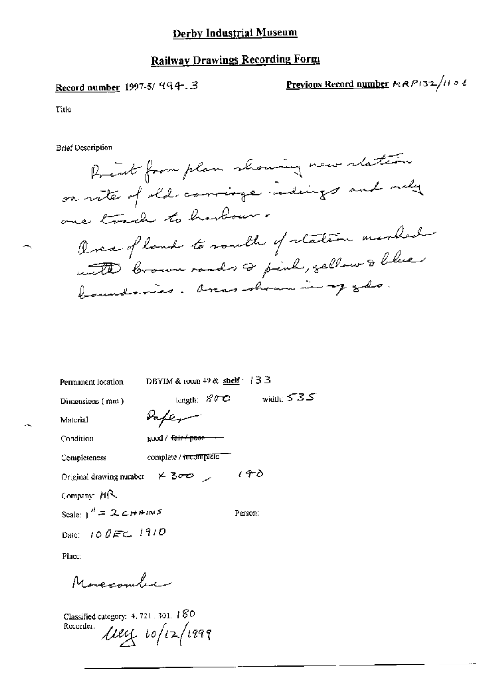## Record number 1997-5/ 994.3

Previous Record number MRP132/1106

Title

**Brief Description** 

Prent from plan showing new station on rite of old comings redeings and only one track to harlow. Over of land to rouble of station marked with brown roads as pink, yellow & blue boundaries. areas shown in my ods.

| Permanent location           | DBYIM & room $49$ & shelf $\cdot$ (33 |              |
|------------------------------|---------------------------------------|--------------|
| Dimensions (mm)              | length: $800$                         | width: $535$ |
| Material                     | Vaper                                 |              |
| Condition                    | good / <del>fair / poor -</del>       |              |
| Completeness                 | complete / incomplete                 |              |
| Original drawing number      | $\times$ 300 $\times$                 | 140          |
| Company: $M\mathcal{R}$      |                                       |              |
| Scale: $1'' = 2c+4mS$        |                                       | Person:      |
| Date: 10 $0 \text{ Fc}$ 1910 |                                       |              |

Place:

Movecombie

Classified category: 4, 721, 301, 180 Recorder:  $\mu$ ey 10/12/1999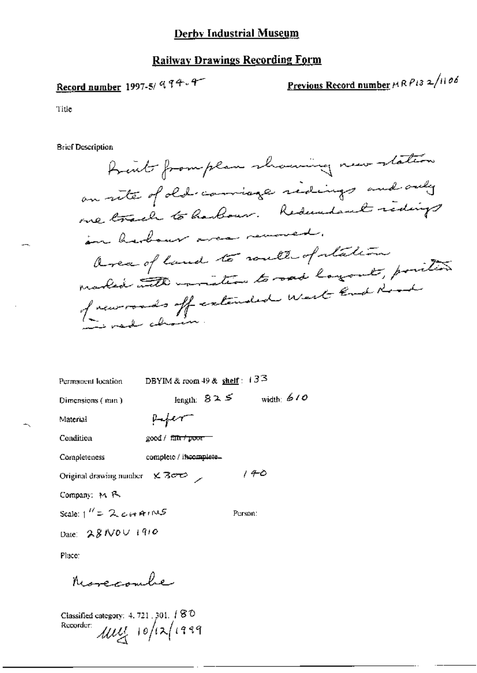## **Railway Drawings Recording Form**

# Record number 1997-5/ 994.4

Previous Record number HRP132/1106

Title

**Brief Description** 

frent fromplan showing new station an rite of old comings ridings and only one track to harbour. Reduced redings in barbour area removed. area of land to routh of station marked with invition to rad layout, position of neuromands off extended west End Road to medical chair

| Permanent location                                 | DBYIM & room $49$ & shelf: $133$ |              |
|----------------------------------------------------|----------------------------------|--------------|
| Dimensions (min.)                                  | length: $825$                    | width: $610$ |
| Material                                           | poper-                           |              |
| Condition                                          | good / fa <del>n / poor -</del>  |              |
| Completeness                                       | complete / incomplete.           |              |
| Original drawing number $\times$ 3 $\sigma$ $\sim$ |                                  | 140          |
| Company, M R                                       |                                  |              |
| Scale: $1'' = 2c \mu A \mu N S$                    |                                  | Person:      |
| Date: 28/V0V 1910                                  |                                  |              |

Place:

Nurecombe

Classified category: 4, 721 , 301.  $\sqrt{80}$  $\mu$ uy 10/12/1999 Recorder: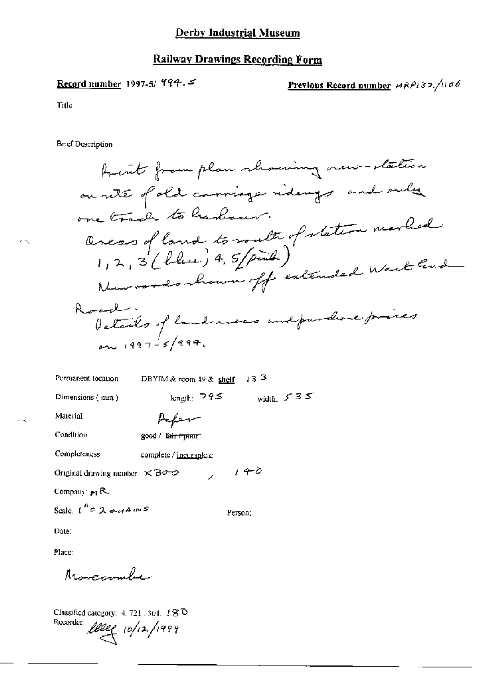## **Railway Drawings Recording Form**

## Record number 1997-5/ 994.5

Previous Record number  $MRP_132/1106$ 

Title

жN,

**Brief Description** 

DBYIM & room 49 & shelf: 13 3 Permanent location length:  $795$  width:  $535$ Dimensions (mm) Material Paper Condition good / fair / pnnr **Completeness** complete / incomplete  $140$ Original drawing number  $\times$  30–0  $\lambda$ Company:  $M$ <sup>R</sup> Scale,  $l'' = 2e^{i4A}l''$ Person: Date:

Place:

Morecombe

Classified category: 4, 721, 301, 180 Recorder; leeg 10/12/1999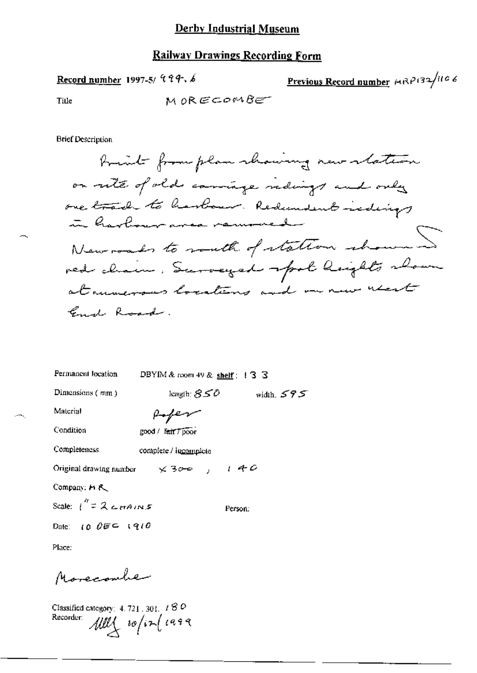## Railway Drawings Recording Form

Record number 1997-5/ 999.6

Previous Record number 1982/106

Title

**Brief Description** 

| Permanent location               | DBYIM & room 49 & shelf : $\sqrt{3}$ 3 |              |
|----------------------------------|----------------------------------------|--------------|
| Dimensions (mm)                  | length: $850\,$                        | width, $595$ |
| Material                         | Poper                                  |              |
| Condition                        | good / fair / poor                     |              |
| Completeness                     | complete / incomplete                  |              |
| Original drawing number          | x300, 140                              |              |
| Company: H R                     |                                        |              |
| Scale: $\int_0^R = 2c \pi A/N.5$ |                                        | Person:      |
| Date: $10\text{ }00 = 1910$      |                                        |              |

Place:

۰.

Morecomber

Classified category: 4.721.301. 180<br>Recorder:  $\mathcal{U}\mathcal{U}\left\{\begin{array}{c}\n u \in \mathcal{U} \\
u \in \mathcal{U}\n\end{array}\right\}$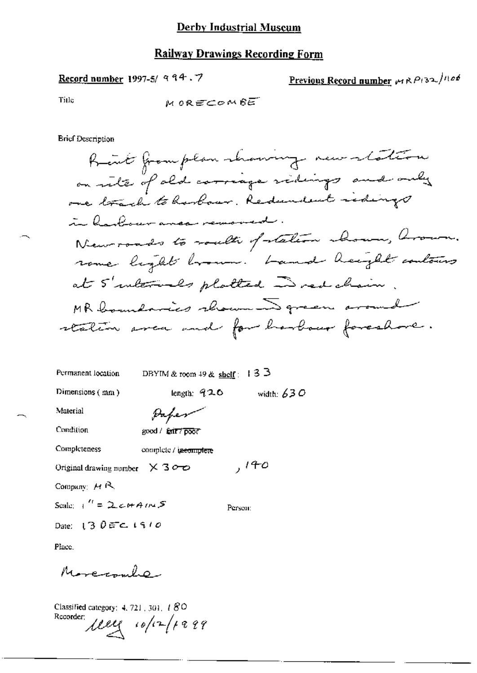Record number 1997-5/ 994.7

Previous Record number 19RP132/1106

Title

M ORECOMBET

**Brief Description** 

Rent from plan showing new station on rite of old corriage sidings and only one track to hooboar. Redundent redings in leadour anea removed New roads to roads of station abound, around. rome light brown. Land height contains at 5' intervals platted in red chain MR boundaries shown I green around station avec and for harbour foreshore.

| Permanent location                                 | DBYIM & room $49$ & shelf: 13 3 |              |
|----------------------------------------------------|---------------------------------|--------------|
| Dimensions (mm)                                    | length: $920$                   | width: $630$ |
| Material                                           | Paper                           |              |
| Condition                                          | good / fair / poor              |              |
| Completeness                                       | complete / <b>taecomplete</b>   |              |
| Original drawing number $\times$ 3 $\sim$ $\infty$ |                                 | , 140        |
| Company: $M R$                                     |                                 |              |
| Scale: $\frac{1}{1}$ = 2 c+ AINS                   |                                 | Person:      |
| Date: 13 $0.5 - 1.510$                             |                                 |              |

Place.

Morenola

Classified category: 4, 721, 301, 180 Recorder:  $\mu_{2}$   $\frac{1}{2}$   $\frac{1}{2}$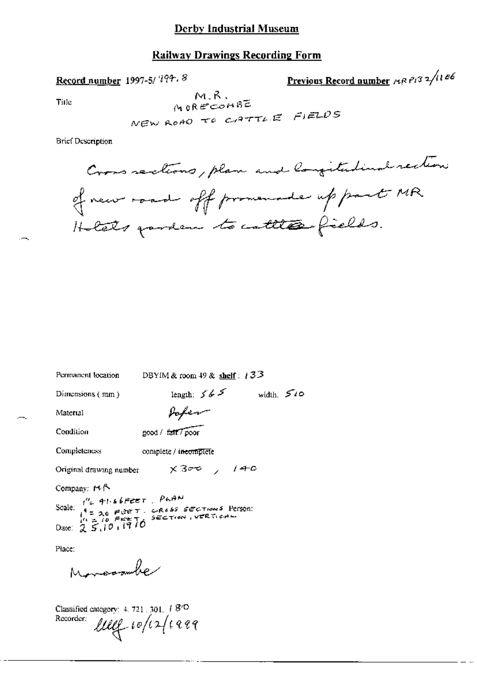## **Railway Drawings Recording Form**

Record number 1997-5/7794.8

Previous Record number ARP132/1106

Title

 $M.R.$ MORECOMBE NEW ROAD TO CATTLE FIELDS

**Brief Description** 

Cross sections, plan and longitudinal rection of new road off promounds up part MR Holats pardem to cattles fields.

| Permanent location                                                                                                                               | DBYIM & room $49$ & shelf: $133$ |               |              |
|--------------------------------------------------------------------------------------------------------------------------------------------------|----------------------------------|---------------|--------------|
| Dimensions $(mn)$                                                                                                                                |                                  | length: $565$ | width. $540$ |
| Material                                                                                                                                         | sofer                            |               |              |
| Condition                                                                                                                                        | good / fait / poor               |               |              |
| Completeness                                                                                                                                     | complete / incomplete            |               |              |
| Original drawing number                                                                                                                          |                                  | x300 / 140    |              |
| Company: $M \uparrow$<br>Scale: $t'' = 41.66$ FEET. PLAN<br>Scale: $t'' = 20$ FEET. CROSS SECTIONS Person:<br>$t'' = 10$ FEETO SECTION, VERTICAL |                                  |               |              |
| Place:<br>Moreomber                                                                                                                              |                                  |               |              |

Classified category: 4, 721, 301,  $18^{\circ}$ Recorder: lug white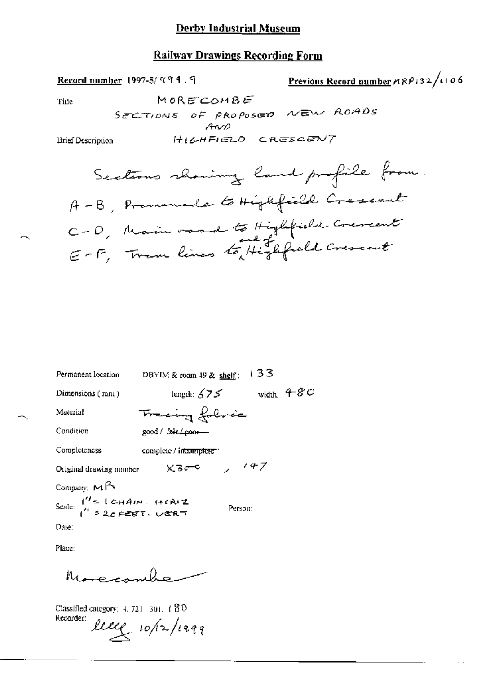## **Railway Drawings Recording Form**

Previous Record number 
$$
MRP
$$
  $132 / 1106$ 

Tine

MORECOMBE SECTIONS OF PROPOSED NEW ROADS  $AWD$ HIGHFIELD CRESCENT

Brief Description

Record number 1997-5/494.9

| Permanent location            | 133<br>DBYIM & room $49$ & shelf: |
|-------------------------------|-----------------------------------|
| Dimensions (mm)               | width: $480$<br>length: $675$     |
| Material                      | Tracing folvec                    |
| Condition                     | good / fair (poor-                |
| Completeness                  | complete / incomplete"            |
| Original drawing number       | 147<br>$\times$ 3 $\sigma$ 0      |
| Company: $M^A$                |                                   |
| Scale: $1'' = 1$ CHAIN. HORIZ | Person:                           |

Date:

Place:

 $\ell_{\rm e}$ Morecom

Classified category: 4, 721, 301, 1 80 Recorder: lece 10/12/1299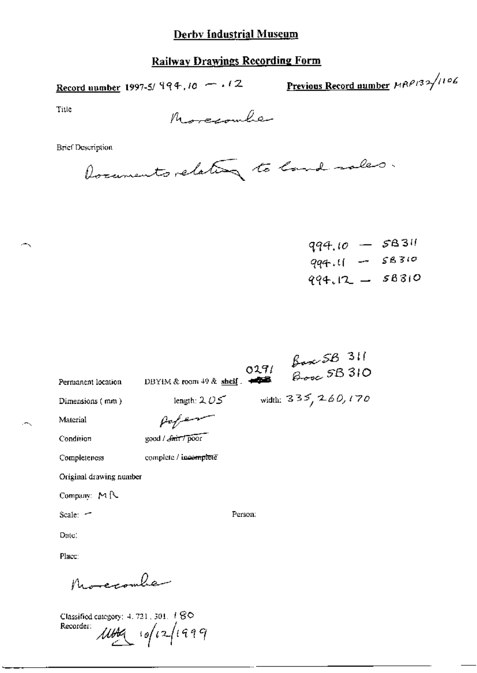## **Railway Drawings Recording Form**

Record number 1997-5/  $994, 10 - 12$  Previous Record number  $MRP132/1106$ 

Title

-.

ж,

Morecomber

**Brief Description** 

Documents relating to land sales.

 $qq4.10 - SB311$  $qq4.11 - 58310$  $994.12 - 58310$ 

| Permanent location      | DBYIM & room $49$ & shelf. $\blacktriangleleft$ | 0291    | $\frac{\beta_{\text{core}}\text{SB}}{310}$ |  |
|-------------------------|-------------------------------------------------|---------|--------------------------------------------|--|
|                         |                                                 |         |                                            |  |
| Dimensions (mm)         | length: $205$                                   |         | width: $335, 260, 170$                     |  |
| Material                |                                                 |         |                                            |  |
| Condition               | good / <i>Smit</i> / poor                       |         |                                            |  |
| Completeness            | complete / incomplete                           |         |                                            |  |
| Original drawing number |                                                 |         |                                            |  |
| Company: MR             |                                                 |         |                                            |  |
| Scale: -                |                                                 | Person: |                                            |  |
| Date:                   |                                                 |         |                                            |  |
| Place:                  |                                                 |         |                                            |  |
| سفىمىسىسىس              |                                                 |         |                                            |  |

Classified category: 4, 721, 301, 1 80 Recorder:  $10021099$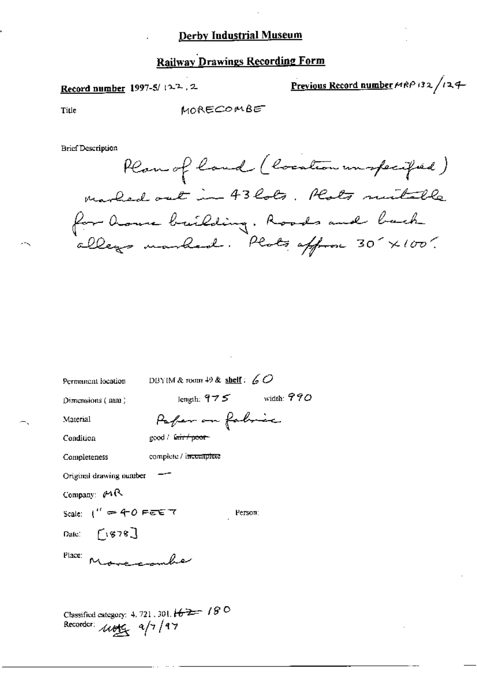## **Railway Drawings Recording Form**

## Record number 1997-5/122.2

Previous Record number  $\mu$ RP 132/124

Title

MORECOMBE

**Brief Description** 

Plan of land (location un specified) marked out in 43 lots. Plats mutable for house building. Roads and back

| Permanent location               | DBYIM & room $49$ & shelf: $60$                        |  |
|----------------------------------|--------------------------------------------------------|--|
| Dimensions (mm)                  | length: $975$ width: $990$                             |  |
| Material                         | Paper on fabric                                        |  |
| Condition                        | good / fair / poor-                                    |  |
| Completeness                     | complete / i <del>ncomplete</del>                      |  |
| Original drawing number          |                                                        |  |
| Company: $\rho$                  |                                                        |  |
| Scale: $1'' = 40$ FEE 7          | Person:                                                |  |
| Date: $\lceil \cdot \rceil$ 878] |                                                        |  |
| Place:<br>Marconnac              |                                                        |  |
|                                  |                                                        |  |
|                                  | Classified category: 4, 721, 301 $4.2$ $7.7$ $10^{-1}$ |  |

Recorder:  $\mu$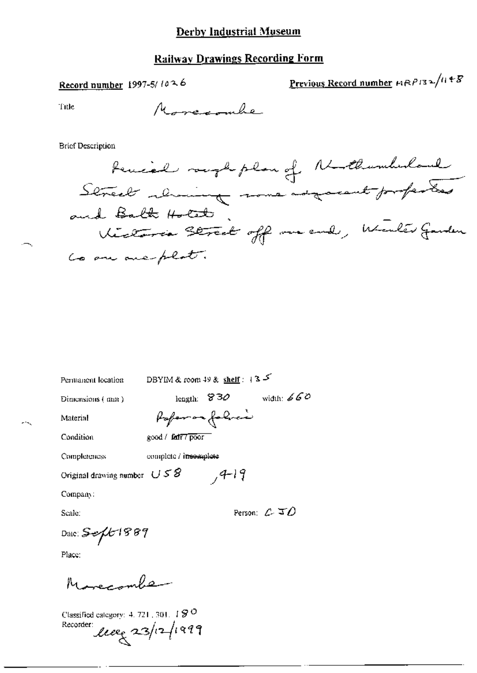## Railway Drawings Recording Form

Record number 1997-5/ $10^{26}$ 

Previous Record number  $\mu$ RP132/1148

Title

**Brief Description** 

Permanent location

DBYIM & room 49 & shelf :  $+3$   $5$ 

Dimensions (mm)

length:  $830$  width:  $660$ Poper on folice

 $74-19$ 

Material

Condition

good / fatt7 poor

Completeness

complete / insemplete

Original drawing number  $USS$ 

Company:

Scale:

Person:  $C \subseteq D$ 

Date:  $Seft1889$ 

Place:

Morecombe

Classified category: 4, 721, 301,  $\pm$   $\mathcal{G}$  O Recorder leve 23/12/1999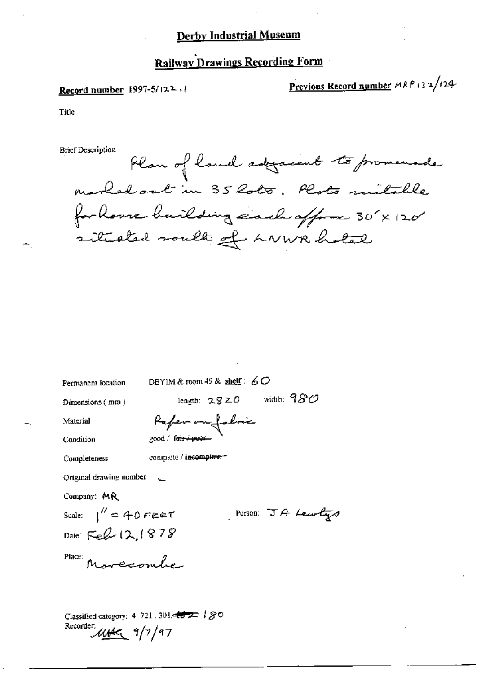## **Railway Drawings Recording Form**

#### Record number  $1997-5/12^2$

Previous Record number  $MRP$  (32/124-

Title

**Brief Description** 

Plan of land adjacent to promenade marked out in 35 Rots. Plats mitable for house bailding each offer 30'x 120' situated south of LNWR holed

DBYIM & room 49 & shelf:  $60$ Permanent location length:  $2820$  width:  $980$ Dimensions (mm) Paper on foloir Material good / f<del>orry poor</del> Condition complete / incomplete = Completeness Original drawing number Company: MR Scale:  $1'' = 40$  FEET Person:  $JA$  Lewlys Date: Feb 12,1878 Place: Marccombe

Classified category: 4. 721. 301.  $46.22$  /  $80$ Recorder: UNC 9/7/97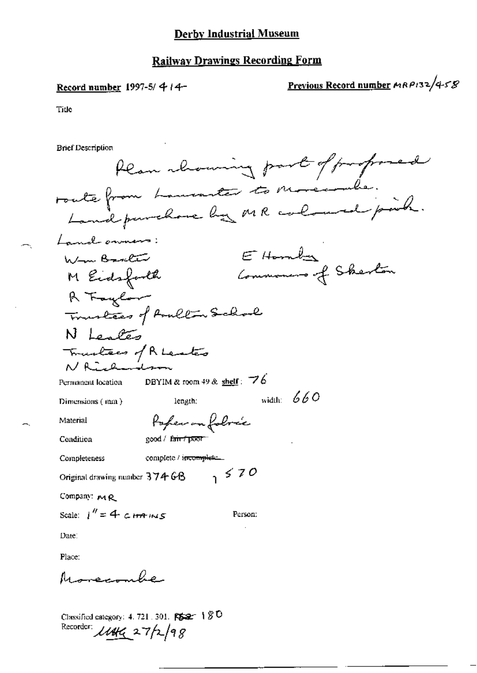## Record number 1997-5/414-

 $\ddot{\phantom{a}}$ 

Previous Record number MRP132/458

 $\sim$ 

Tide

**Brief Description** 

| Plan channing part of proposed                                          |
|-------------------------------------------------------------------------|
| route from Lamonter to Morecombe.<br>Landpurchase by MR coloured point. |
|                                                                         |
| Land onners:                                                            |
| $E$ Homby<br>Www. Banker                                                |
| Commencer of Sherton<br>M Eidsforth                                     |
| R Faylor                                                                |
| Tourless of Avallon School                                              |
| N Leales                                                                |
| Touchers of Reaster                                                     |
| N Rìchai                                                                |
| DBYIM & room 49 & shelf: $\overline{76}$<br>Permanent location          |
| width: $660$<br>length:<br>Dimensions (mm)                              |
| Poper on fobre's<br>Material                                            |
| good / fair / poor<br>Condition                                         |
| complete / incomplete<br>Completeness                                   |
| 550<br>Original drawing number $37466$                                  |
| Company: MR                                                             |
| Scale: $1'' = 4$ c HA INS<br>Person:                                    |
| Date:                                                                   |
| Place:                                                                  |

Morecombe

Classified category: 4.721.301. FS2 180<br>Recorder:  $\mu_{4}$  27/2/98